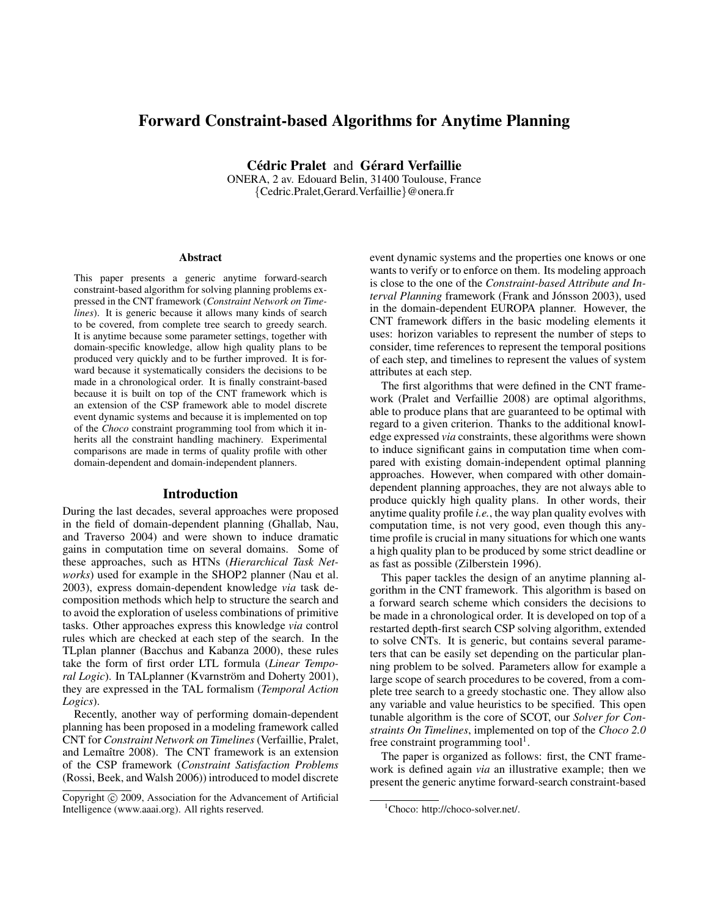# Forward Constraint-based Algorithms for Anytime Planning

Cédric Pralet and Gérard Verfaillie

ONERA, 2 av. Edouard Belin, 31400 Toulouse, France {Cedric.Pralet,Gerard.Verfaillie}@onera.fr

#### Abstract

This paper presents a generic anytime forward-search constraint-based algorithm for solving planning problems expressed in the CNT framework (*Constraint Network on Timelines*). It is generic because it allows many kinds of search to be covered, from complete tree search to greedy search. It is anytime because some parameter settings, together with domain-specific knowledge, allow high quality plans to be produced very quickly and to be further improved. It is forward because it systematically considers the decisions to be made in a chronological order. It is finally constraint-based because it is built on top of the CNT framework which is an extension of the CSP framework able to model discrete event dynamic systems and because it is implemented on top of the *Choco* constraint programming tool from which it inherits all the constraint handling machinery. Experimental comparisons are made in terms of quality profile with other domain-dependent and domain-independent planners.

#### Introduction

During the last decades, several approaches were proposed in the field of domain-dependent planning (Ghallab, Nau, and Traverso 2004) and were shown to induce dramatic gains in computation time on several domains. Some of these approaches, such as HTNs (*Hierarchical Task Networks*) used for example in the SHOP2 planner (Nau et al. 2003), express domain-dependent knowledge *via* task decomposition methods which help to structure the search and to avoid the exploration of useless combinations of primitive tasks. Other approaches express this knowledge *via* control rules which are checked at each step of the search. In the TLplan planner (Bacchus and Kabanza 2000), these rules take the form of first order LTL formula (*Linear Temporal Logic*). In TALplanner (Kvarnström and Doherty 2001), they are expressed in the TAL formalism (*Temporal Action Logics*).

Recently, another way of performing domain-dependent planning has been proposed in a modeling framework called CNT for *Constraint Network on Timelines* (Verfaillie, Pralet, and Lemaître 2008). The CNT framework is an extension of the CSP framework (*Constraint Satisfaction Problems* (Rossi, Beek, and Walsh 2006)) introduced to model discrete

event dynamic systems and the properties one knows or one wants to verify or to enforce on them. Its modeling approach is close to the one of the *Constraint-based Attribute and Interval Planning* framework (Frank and Jónsson 2003), used in the domain-dependent EUROPA planner. However, the CNT framework differs in the basic modeling elements it uses: horizon variables to represent the number of steps to consider, time references to represent the temporal positions of each step, and timelines to represent the values of system attributes at each step.

The first algorithms that were defined in the CNT framework (Pralet and Verfaillie 2008) are optimal algorithms, able to produce plans that are guaranteed to be optimal with regard to a given criterion. Thanks to the additional knowledge expressed *via* constraints, these algorithms were shown to induce significant gains in computation time when compared with existing domain-independent optimal planning approaches. However, when compared with other domaindependent planning approaches, they are not always able to produce quickly high quality plans. In other words, their anytime quality profile *i.e.*, the way plan quality evolves with computation time, is not very good, even though this anytime profile is crucial in many situations for which one wants a high quality plan to be produced by some strict deadline or as fast as possible (Zilberstein 1996).

This paper tackles the design of an anytime planning algorithm in the CNT framework. This algorithm is based on a forward search scheme which considers the decisions to be made in a chronological order. It is developed on top of a restarted depth-first search CSP solving algorithm, extended to solve CNTs. It is generic, but contains several parameters that can be easily set depending on the particular planning problem to be solved. Parameters allow for example a large scope of search procedures to be covered, from a complete tree search to a greedy stochastic one. They allow also any variable and value heuristics to be specified. This open tunable algorithm is the core of SCOT, our *Solver for Constraints On Timelines*, implemented on top of the *Choco 2.0* free constraint programming tool<sup>1</sup>.

The paper is organized as follows: first, the CNT framework is defined again *via* an illustrative example; then we present the generic anytime forward-search constraint-based

Copyright (c) 2009, Association for the Advancement of Artificial Intelligence (www.aaai.org). All rights reserved.

<sup>&</sup>lt;sup>1</sup>Choco: http://choco-solver.net/.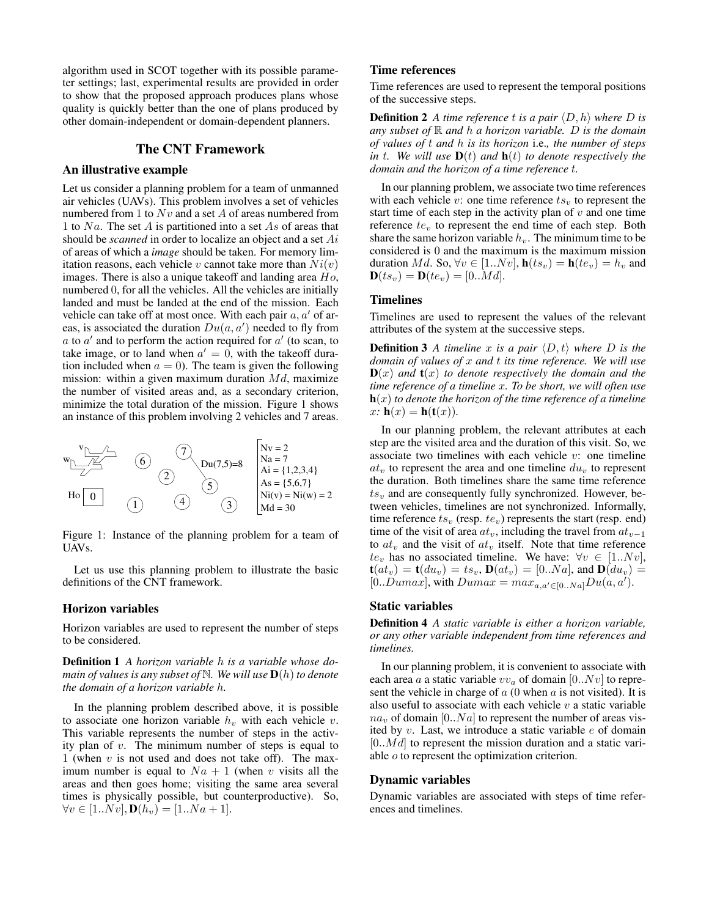algorithm used in SCOT together with its possible parameter settings; last, experimental results are provided in order to show that the proposed approach produces plans whose quality is quickly better than the one of plans produced by other domain-independent or domain-dependent planners.

## The CNT Framework

## An illustrative example

Let us consider a planning problem for a team of unmanned air vehicles (UAVs). This problem involves a set of vehicles numbered from 1 to  $Nv$  and a set A of areas numbered from 1 to Na. The set A is partitioned into a set As of areas that should be *scanned* in order to localize an object and a set Ai of areas of which a *image* should be taken. For memory limitation reasons, each vehicle v cannot take more than  $Ni(v)$ images. There is also a unique takeoff and landing area  $Ho$ , numbered 0, for all the vehicles. All the vehicles are initially landed and must be landed at the end of the mission. Each vehicle can take off at most once. With each pair  $a, a'$  of areas, is associated the duration  $Du(a, a')$  needed to fly from  $a$  to  $a'$  and to perform the action required for  $a'$  (to scan, to take image, or to land when  $a' = 0$ , with the takeoff duration included when  $a = 0$ ). The team is given the following mission: within a given maximum duration  $Md$ , maximize the number of visited areas and, as a secondary criterion, minimize the total duration of the mission. Figure 1 shows an instance of this problem involving 2 vehicles and 7 areas.



Figure 1: Instance of the planning problem for a team of UAVs.

Let us use this planning problem to illustrate the basic definitions of the CNT framework.

#### Horizon variables

Horizon variables are used to represent the number of steps to be considered.

Definition 1 *A horizon variable* h *is a variable whose domain of values is any subset of* N*. We will use* D(h) *to denote the domain of a horizon variable* h*.*

In the planning problem described above, it is possible to associate one horizon variable  $h<sub>v</sub>$  with each vehicle  $v$ . This variable represents the number of steps in the activity plan of  $v$ . The minimum number of steps is equal to 1 (when  $v$  is not used and does not take off). The maximum number is equal to  $Na + 1$  (when v visits all the areas and then goes home; visiting the same area several times is physically possible, but counterproductive). So,  $\forall v \in [1..Nv], \mathbf{D}(h_v) = [1..Na + 1].$ 

# Time references

Time references are used to represent the temporal positions of the successive steps.

**Definition 2** A time reference t is a pair  $\langle D, h \rangle$  where D is *any subset of* R *and* h *a horizon variable.* D *is the domain of values of* t *and* h *is its horizon* i.e.*, the number of steps in* t. We will use  $\mathbf{D}(t)$  and  $\mathbf{h}(t)$  to denote respectively the *domain and the horizon of a time reference* t*.*

In our planning problem, we associate two time references with each vehicle v: one time reference  $ts<sub>v</sub>$  to represent the start time of each step in the activity plan of  $v$  and one time reference  $te<sub>v</sub>$  to represent the end time of each step. Both share the same horizon variable  $h<sub>v</sub>$ . The minimum time to be considered is 0 and the maximum is the maximum mission duration Md. So,  $\forall v \in [1..Nv]$ ,  $\mathbf{h}(ts_v) = \mathbf{h}(te_v) = h_v$  and  $$ 

## **Timelines**

Timelines are used to represent the values of the relevant attributes of the system at the successive steps.

**Definition 3** A timeline x is a pair  $\langle D, t \rangle$  where D is the *domain of values of* x *and* t *its time reference. We will use*  $\mathbf{D}(x)$  *and*  $\mathbf{t}(x)$  *to denote respectively the domain and the time reference of a timeline* x*. To be short, we will often use* h(x) *to denote the horizon of the time reference of a timeline*  $x: h(x) = h(t(x)).$ 

In our planning problem, the relevant attributes at each step are the visited area and the duration of this visit. So, we associate two timelines with each vehicle  $v$ : one timeline  $at_v$  to represent the area and one timeline  $du_v$  to represent the duration. Both timelines share the same time reference  $ts_v$  and are consequently fully synchronized. However, between vehicles, timelines are not synchronized. Informally, time reference  $ts_v$  (resp.  $te_v$ ) represents the start (resp. end) time of the visit of area  $at_v$ , including the travel from  $at_{v-1}$ to  $at_v$  and the visit of  $at_v$  itself. Note that time reference  $te_v$  has no associated timeline. We have:  $\forall v \in [1..Nv],$  $\mathbf{t}(at_v) = \mathbf{t}(du_v) = ts_v, \mathbf{D}(at_v) = [0..Na],$  and  $\mathbf{D}(du_v) =$ [0..Dumax], with  $Dumax = max_{a,a' \in [0..Na]} Du(a,a')$ .

#### Static variables

Definition 4 *A static variable is either a horizon variable, or any other variable independent from time references and timelines.*

In our planning problem, it is convenient to associate with each area a a static variable  $vv_a$  of domain [0..Nv] to represent the vehicle in charge of  $a(0)$  when  $a$  is not visited). It is also useful to associate with each vehicle  $v$  a static variable  $na<sub>v</sub>$  of domain [0..Na] to represent the number of areas visited by v. Last, we introduce a static variable e of domain  $[0..Md]$  to represent the mission duration and a static variable o to represent the optimization criterion.

#### Dynamic variables

Dynamic variables are associated with steps of time references and timelines.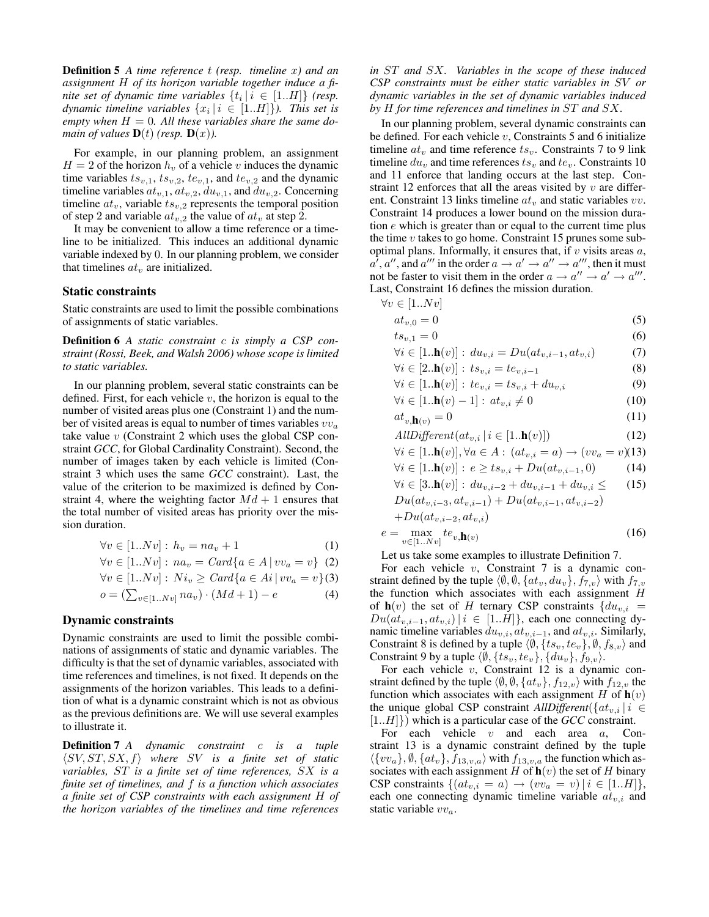Definition 5 *A time reference* t *(resp. timeline* x*) and an assignment* H *of its horizon variable together induce a finite set of dynamic time variables*  $\{t_i | i \in [1..H]\}$  (resp.  $d$ ynamic timeline variables  $\{x_i \, | \, i \, \in \, [1..H]\}$ ). This set is empty when  $H = 0$ . All these variables share the same do*main of values*  $\mathbf{D}(t)$  (*resp.*  $\mathbf{D}(x)$ *).* 

For example, in our planning problem, an assignment  $H = 2$  of the horizon  $h<sub>v</sub>$  of a vehicle v induces the dynamic time variables  $ts_{v,1}$ ,  $ts_{v,2}$ ,  $te_{v,1}$ , and  $te_{v,2}$  and the dynamic timeline variables  $at_{v,1}$ ,  $at_{v,2}$ ,  $du_{v,1}$ , and  $du_{v,2}$ . Concerning timeline  $at_v$ , variable  $ts_{v,2}$  represents the temporal position of step 2 and variable  $at_{v,2}$  the value of  $at_v$  at step 2.

It may be convenient to allow a time reference or a timeline to be initialized. This induces an additional dynamic variable indexed by 0. In our planning problem, we consider that timelines  $at_v$  are initialized.

#### Static constraints

Static constraints are used to limit the possible combinations of assignments of static variables.

Definition 6 *A static constraint* c *is simply a CSP constraint (Rossi, Beek, and Walsh 2006) whose scope is limited to static variables.*

In our planning problem, several static constraints can be defined. First, for each vehicle  $v$ , the horizon is equal to the number of visited areas plus one (Constraint 1) and the number of visited areas is equal to number of times variables  $vv_a$ take value  $v$  (Constraint 2 which uses the global CSP constraint *GCC*, for Global Cardinality Constraint). Second, the number of images taken by each vehicle is limited (Constraint 3 which uses the same *GCC* constraint). Last, the value of the criterion to be maximized is defined by Constraint 4, where the weighting factor  $Md + 1$  ensures that the total number of visited areas has priority over the mission duration.

$$
\forall v \in [1..Nv] : h_v = na_v + 1 \tag{1}
$$

$$
\forall v \in [1..Nv] : na_v = Card\{a \in A \mid vv_a = v\} \tag{2}
$$

$$
\forall v \in [1..Nv] : Ni_v \geq Card\{a \in Ai \,|\, vv_a = v\} (3)
$$

$$
o = (\sum_{v \in [1..Nv]} na_v) \cdot (Md + 1) - e \tag{4}
$$

## Dynamic constraints

Dynamic constraints are used to limit the possible combinations of assignments of static and dynamic variables. The difficulty is that the set of dynamic variables, associated with time references and timelines, is not fixed. It depends on the assignments of the horizon variables. This leads to a definition of what is a dynamic constraint which is not as obvious as the previous definitions are. We will use several examples to illustrate it.

Definition 7 *A dynamic constraint* c *is a tuple*  $\langle SV, ST, SX, f \rangle$  where SV is a finite set of static *variables,* ST *is a finite set of time references,* SX *is a finite set of timelines, and* f *is a function which associates a finite set of CSP constraints with each assignment* H *of the horizon variables of the timelines and time references*

*in* ST *and* SX*. Variables in the scope of these induced CSP constraints must be either static variables in* SV *or dynamic variables in the set of dynamic variables induced by* H *for time references and timelines in* ST *and* SX*.*

In our planning problem, several dynamic constraints can be defined. For each vehicle  $v$ , Constraints 5 and 6 initialize timeline  $at_v$  and time reference  $ts_v$ . Constraints 7 to 9 link timeline  $du_v$  and time references  $ts_v$  and  $te_v$ . Constraints 10 and 11 enforce that landing occurs at the last step. Constraint 12 enforces that all the areas visited by  $v$  are different. Constraint 13 links timeline  $at_v$  and static variables  $vv$ . Constraint 14 produces a lower bound on the mission duration  $e$  which is greater than or equal to the current time plus the time  $v$  takes to go home. Constraint 15 prunes some suboptimal plans. Informally, it ensures that, if  $v$  visits areas  $a$ ,  $a^7$ ,  $a''$ , and  $a'''$  in the order  $a \to a' \to a'' \to a'''$ , then it must not be faster to visit them in the order  $a \to a'' \to a' \to a'''$ . Last, Constraint 16 defines the mission duration.

$$
\forall v \in [1..Nv] at_{v.0} = 0
$$
 (5)

$$
ts_{v,1} = 0 \tag{6}
$$

$$
\forall i \in [1. \mathbf{h}(v)] : du_{v,i} = Du(at_{v,i-1}, at_{v,i}) \tag{7}
$$

$$
\forall i \in [2.\mathbf{h}(v)] : ts_{v,i} = te_{v,i-1} \tag{8}
$$

$$
\forall i \in [1..h(v)] : te_{v,i} = ts_{v,i} + du_{v,i}
$$
\n
$$
\forall i \in [1..h(v)] : 1! \quad \text{(9)}
$$
\n
$$
\forall i \in [1..h(v)] \quad \text{(10)}
$$

$$
\forall i \in [1..n(v) - 1]: at_{v,i} \neq 0 \tag{10}
$$

$$
at_{v,\mathbf{h}(v)} = 0\tag{11}
$$
\n
$$
AtUDE\n\text{Gern}(ct - 1) \leq [1, \mathbf{h}(v)]
$$
\n
$$
(12)
$$

$$
AtuD(y) erent(au_{v,i} | i \in [1..n(v)])
$$
\n
$$
\forall i \in [1..b(v)] \; \forall \alpha \in A : (at = c) \quad \forall (uv = v)(12)
$$

$$
\forall i \in [1 \cdot \mathbf{h}(v)], \forall a \in A : (a v_{i,i} = a) \rightarrow (v v_a = v)(15)
$$
  

$$
\forall i \in [1 \cdot \mathbf{h}(v)] : e \ge ts_{i,i} + Du(at_{i,i-1}, 0)
$$
 (14)

$$
\forall i \in [3. \mathbf{h}(v)] : du_{v,i-2} + du_{v,i-1} + du_{v,i} \leq (15)
$$

$$
Du(at_{v,i-3},at_{v,i-1}) + Du(at_{v,i-1},at_{v,i-2}) + Du(at_{v,i-2},at_{v,i})
$$

$$
e = \max_{v \in [1..Nv]} t e_{v,\mathbf{h}(v)} \tag{16}
$$

Let us take some examples to illustrate Definition 7.

For each vehicle  $v$ , Constraint 7 is a dynamic constraint defined by the tuple  $\langle \emptyset, \emptyset, \{at_v, du_v\}, f_{7,v} \rangle$  with  $f_{7,v}$ the function which associates with each assignment  $H$ of  $h(v)$  the set of H ternary CSP constraints  $\{du_{v,i} =$  $Du(at_{v,i-1}, at_{v,i})|i \in [1..H]\}$ , each one connecting dynamic timeline variables  $du_{v,i}$ ,  $at_{v,i-1}$ , and  $at_{v,i}$ . Similarly, Constraint 8 is defined by a tuple  $\langle \emptyset, \{ts_v, te_v\}, \emptyset, f_{8,v} \rangle$  and Constraint 9 by a tuple  $\langle \emptyset, \{ts_v, te_v\}, \{du_v\}, f_{9,v}\rangle$ .

For each vehicle  $v$ , Constraint 12 is a dynamic constraint defined by the tuple  $\langle \emptyset, \emptyset, \{at_v\}, f_{12,v} \rangle$  with  $f_{12,v}$  the function which associates with each assignment H of  $h(v)$ the unique global CSP constraint  $AllDifferent({a_t}_{i,i} | i \in$ [1..H]}) which is a particular case of the *GCC* constraint.

For each vehicle  $v$  and each area  $a$ , Constraint 13 is a dynamic constraint defined by the tuple  $\langle \{vv_a\}, \emptyset, \{at_v\}, f_{13,v,a}\rangle$  with  $f_{13,v,a}$  the function which associates with each assignment H of  $h(v)$  the set of H binary CSP constraints  $\{(at_{v,i} = a) \rightarrow (vv_a = v) | i \in [1..H]\},\$ each one connecting dynamic timeline variable  $at_{v,i}$  and static variable  $vv_a$ .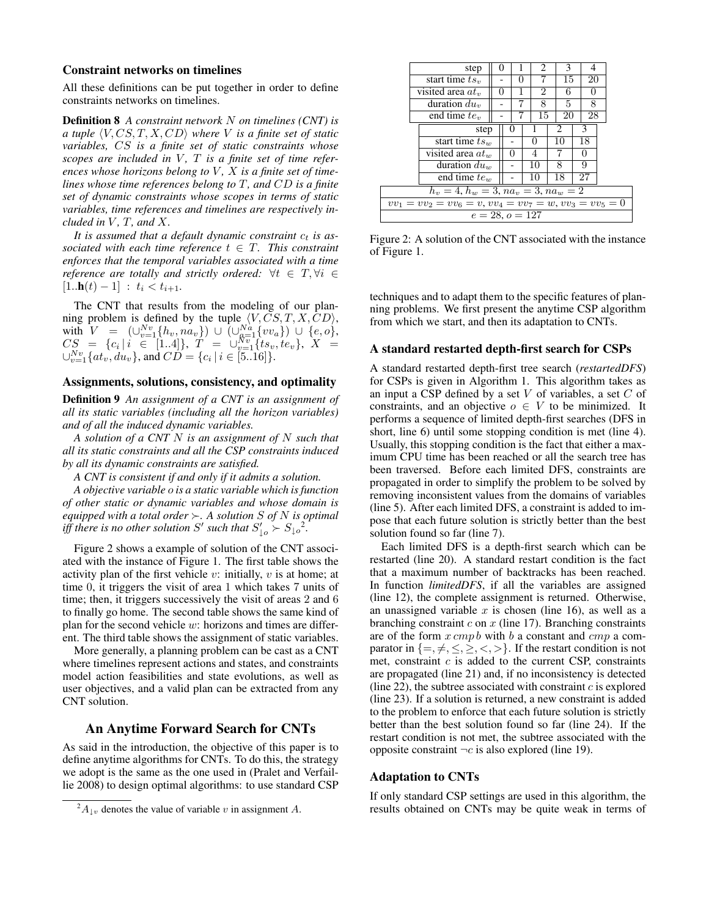#### Constraint networks on timelines

All these definitions can be put together in order to define constraints networks on timelines.

Definition 8 *A constraint network* N *on timelines (CNT) is a tuple*  $\langle V, CS, T, X, CD \rangle$  *where V is a finite set of static variables,* CS *is a finite set of static constraints whose* scopes are included in V, T is a finite set of time refer*ences whose horizons belong to* V *,* X *is a finite set of timelines whose time references belong to* T*, and* CD *is a finite set of dynamic constraints whose scopes in terms of static variables, time references and timelines are respectively included in*  $V$ *, T, and*  $X$ *.* 

It is assumed that a default dynamic constraint  $c_t$  is as*sociated with each time reference*  $t \in T$ *. This constraint enforces that the temporal variables associated with a time reference are totally and strictly ordered:*  $\forall t \in T, \forall i \in$  $[1..h(t) - 1]$  :  $t_i < t_{i+1}$ .

The CNT that results from the modeling of our planning problem is defined by the tuple  $\langle V, CS, T, X, CD \rangle$ , with  $V = (\bigcup_{v=1}^{Nv} \{h_v, na_v\}) \cup (\bigcup_{a=1}^{Na} \{vv_a\}) \cup \{e, o\},$  $CS = \{c_i \, | \, i \in [1..4]\}, \,\, T \, = \, \cup_{v=1}^{Nv}\{ts_v, te_v\}, \,\, X \, \, = \,$  $\cup_{v=1}^{Nv} \{at_v, du_v\}$ , and  $CD = \{c_i \mid i \in [5..16]\}.$ 

## Assignments, solutions, consistency, and optimality

Definition 9 *An assignment of a CNT is an assignment of all its static variables (including all the horizon variables) and of all the induced dynamic variables.*

*A solution of a CNT* N *is an assignment of* N *such that all its static constraints and all the CSP constraints induced by all its dynamic constraints are satisfied.*

*A CNT is consistent if and only if it admits a solution.*

*A objective variable* o *is a static variable which is function of other static or dynamic variables and whose domain is equipped with a total order*  $\succ$ . A solution *S* of *N* is optimal *iff there is no other solution* S' such that  $S'_{\downarrow o} \succ S_{\downarrow o}^2$ .

Figure 2 shows a example of solution of the CNT associated with the instance of Figure 1. The first table shows the activity plan of the first vehicle  $v$ : initially,  $v$  is at home; at time 0, it triggers the visit of area 1 which takes 7 units of time; then, it triggers successively the visit of areas 2 and 6 to finally go home. The second table shows the same kind of plan for the second vehicle  $w$ : horizons and times are different. The third table shows the assignment of static variables.

More generally, a planning problem can be cast as a CNT where timelines represent actions and states, and constraints model action feasibilities and state evolutions, as well as user objectives, and a valid plan can be extracted from any CNT solution.

## An Anytime Forward Search for CNTs

As said in the introduction, the objective of this paper is to define anytime algorithms for CNTs. To do this, the strategy we adopt is the same as the one used in (Pralet and Verfaillie 2008) to design optimal algorithms: to use standard CSP

|                                                                  | step                |  | 0            |  |    | 2        |  | 3  |    | 4  |  |  |
|------------------------------------------------------------------|---------------------|--|--------------|--|----|----------|--|----|----|----|--|--|
|                                                                  | start time $tsv$    |  |              |  |    |          |  | 15 |    | 20 |  |  |
|                                                                  | visited area $at_v$ |  | $\mathbf{0}$ |  | 2  |          |  | 6  |    | 0  |  |  |
|                                                                  | duration $du_v$     |  |              |  | 8  |          |  | 5  |    | 8  |  |  |
|                                                                  | end time $te_v$     |  |              |  |    | 15       |  | 20 | 28 |    |  |  |
|                                                                  | step                |  |              |  |    |          |  |    |    | 3  |  |  |
|                                                                  | start time $ts_w$   |  |              |  |    | $^{(1)}$ |  | 10 |    | 18 |  |  |
|                                                                  | visited area $at_w$ |  |              |  |    | 4        |  |    |    |    |  |  |
|                                                                  | duration $du_w$     |  |              |  | 10 |          |  | 8  |    | g  |  |  |
|                                                                  | end time $te_w$     |  |              |  |    | 10       |  | 18 |    | 27 |  |  |
| $h_v = 4, h_w = 3, na_v = 3, na_w = 2$                           |                     |  |              |  |    |          |  |    |    |    |  |  |
| $vv_1 = vv_2 = vv_6 = v$ , $vv_4 = vv_7 = w$ , $vv_3 = vv_5 = 0$ |                     |  |              |  |    |          |  |    |    |    |  |  |
| $e = 28, o = 127$                                                |                     |  |              |  |    |          |  |    |    |    |  |  |

Figure 2: A solution of the CNT associated with the instance of Figure 1.

techniques and to adapt them to the specific features of planning problems. We first present the anytime CSP algorithm from which we start, and then its adaptation to CNTs.

#### A standard restarted depth-first search for CSPs

A standard restarted depth-first tree search (*restartedDFS*) for CSPs is given in Algorithm 1. This algorithm takes as an input a CSP defined by a set  $V$  of variables, a set  $C$  of constraints, and an objective  $o \in V$  to be minimized. It performs a sequence of limited depth-first searches (DFS in short, line 6) until some stopping condition is met (line 4). Usually, this stopping condition is the fact that either a maximum CPU time has been reached or all the search tree has been traversed. Before each limited DFS, constraints are propagated in order to simplify the problem to be solved by removing inconsistent values from the domains of variables (line 5). After each limited DFS, a constraint is added to impose that each future solution is strictly better than the best solution found so far (line 7).

Each limited DFS is a depth-first search which can be restarted (line 20). A standard restart condition is the fact that a maximum number of backtracks has been reached. In function *limitedDFS*, if all the variables are assigned (line 12), the complete assignment is returned. Otherwise, an unassigned variable  $x$  is chosen (line 16), as well as a branching constraint  $c$  on  $x$  (line 17). Branching constraints are of the form  $x \, comp \, b$  with  $b$  a constant and  $cmp$  a comparator in  $\{ =, \neq, \leq, \geq, \lt, \gt\}$ . If the restart condition is not met, constraint  $c$  is added to the current CSP, constraints are propagated (line 21) and, if no inconsistency is detected (line 22), the subtree associated with constraint  $c$  is explored (line 23). If a solution is returned, a new constraint is added to the problem to enforce that each future solution is strictly better than the best solution found so far (line 24). If the restart condition is not met, the subtree associated with the opposite constraint  $\neg c$  is also explored (line 19).

#### Adaptation to CNTs

If only standard CSP settings are used in this algorithm, the results obtained on CNTs may be quite weak in terms of

 $^{2}A_{\downarrow v}$  denotes the value of variable v in assignment A.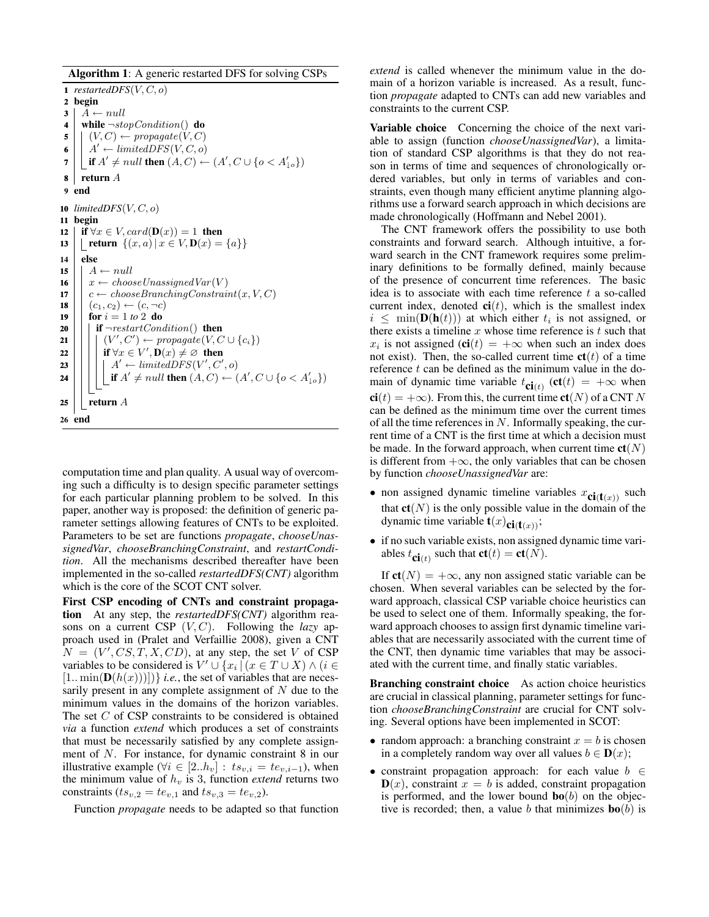Algorithm 1: A generic restarted DFS for solving CSPs

1 *restartedDFS* $(V, C, o)$ 2 begin  $3 \mid A \leftarrow null$ 4 while  $\neg stopCondition()$  do  $\mathbf{5} \mid (V, C) \leftarrow \text{propagate}(V, C)$  $\bullet \mid A' \leftarrow limitedDFS(V, C, o)$ 7 | | if  $A' \neq null$  then  $(A, C) \leftarrow (A', C \cup \{o < A'_{\downarrow o}\})$  $8$  return A 9 end 10  $limitedDFS(V, C, o)$ 11 begin 12 | if  $\forall x \in V$ ,  $card(\mathbf{D}(x)) = 1$  then 13 | return  $\{(x, a) | x \in V, \mathbf{D}(x) = \{a\}\}\$  $14$  else 15  $\mid$   $A \leftarrow null$ 16  $\vert x \leftarrow chooseUnassignedVar(V)$ 17  $\vert \vert c \leftarrow \text{chooseBranchingConstraint}(x, V, C)$ 18  $| (c_1, c_2) \leftarrow (c, \neg c)$ 19 | for  $i = 1$  to 2 do **20** | | **if**  $\neg restartCondition()$  **then 21**  $\vert \vert \vert \vert (V', C') \leftarrow \text{propagate}(V, C \cup \{c_i\})$ 22  $\Box$  if  $\forall x \in V', \mathbf{D}(x) \neq \varnothing$  then 23 A <sup>0</sup> ← limitedDFS(V 0 , C<sup>0</sup> , o) 24  $\Box$  if  $A' \neq null$  then  $(A, C) \leftarrow (A', C \cup \{o < A'_{\bot} \}$ 25 | return  $A$ 26 end

computation time and plan quality. A usual way of overcoming such a difficulty is to design specific parameter settings for each particular planning problem to be solved. In this paper, another way is proposed: the definition of generic parameter settings allowing features of CNTs to be exploited. Parameters to be set are functions *propagate*, *chooseUnassignedVar*, *chooseBranchingConstraint*, and *restartCondition*. All the mechanisms described thereafter have been implemented in the so-called *restartedDFS(CNT)* algorithm which is the core of the SCOT CNT solver.

First CSP encoding of CNTs and constraint propagation At any step, the *restartedDFS(CNT)* algorithm reasons on a current CSP  $(V, C)$ . Following the *lazy* approach used in (Pralet and Verfaillie 2008), given a CNT  $N = (V', CS, T, X, CD)$ , at any step, the set V of CSP variables to be considered is  $V' \cup \{x_i \mid (x \in T \cup X) \wedge (i \in$  $[1 \dots \min(\mathbf{D}(h(x)))]$ } *i.e.*, the set of variables that are necessarily present in any complete assignment of N due to the minimum values in the domains of the horizon variables. The set C of CSP constraints to be considered is obtained *via* a function *extend* which produces a set of constraints that must be necessarily satisfied by any complete assignment of N. For instance, for dynamic constraint 8 in our illustrative example ( $\forall i \in [2..h_v] : ts_{v,i} = te_{v,i-1}$ ), when the minimum value of  $h<sub>v</sub>$  is 3, function *extend* returns two constraints ( $ts_{v,2} = te_{v,1}$  and  $ts_{v,3} = te_{v,2}$ ).

Function *propagate* needs to be adapted so that function

*extend* is called whenever the minimum value in the domain of a horizon variable is increased. As a result, function *propagate* adapted to CNTs can add new variables and constraints to the current CSP.

Variable choice Concerning the choice of the next variable to assign (function *chooseUnassignedVar*), a limitation of standard CSP algorithms is that they do not reason in terms of time and sequences of chronologically ordered variables, but only in terms of variables and constraints, even though many efficient anytime planning algorithms use a forward search approach in which decisions are made chronologically (Hoffmann and Nebel 2001).

The CNT framework offers the possibility to use both constraints and forward search. Although intuitive, a forward search in the CNT framework requires some preliminary definitions to be formally defined, mainly because of the presence of concurrent time references. The basic idea is to associate with each time reference  $t$  a so-called current index, denoted  $ci(t)$ , which is the smallest index  $i \leq \min(\mathbf{D}(\mathbf{h}(t)))$  at which either  $t_i$  is not assigned, or there exists a timeline  $x$  whose time reference is  $t$  such that  $x_i$  is not assigned (**ci**(*t*) = + $\infty$  when such an index does not exist). Then, the so-called current time  $ct(t)$  of a time reference  $t$  can be defined as the minimum value in the domain of dynamic time variable  $t_{\text{ci}(t)}$  (ct(t) = + $\infty$  when  $ci(t) = +\infty$ ). From this, the current time  $ct(N)$  of a CNT N can be defined as the minimum time over the current times of all the time references in  $N$ . Informally speaking, the current time of a CNT is the first time at which a decision must be made. In the forward approach, when current time  $ct(N)$ is different from  $+\infty$ , the only variables that can be chosen by function *chooseUnassignedVar* are:

- non assigned dynamic timeline variables  $x_{ci(t(x))}$  such that  $ct(N)$  is the only possible value in the domain of the dynamic time variable  $t(x)_{\text{ci}(t(x))}$ ;
- if no such variable exists, non assigned dynamic time variables  $t_{\text{ci}(t)}$  such that  $\text{ct}(t) = \text{ct}(N)$ .

If  $ct(N) = +\infty$ , any non assigned static variable can be chosen. When several variables can be selected by the forward approach, classical CSP variable choice heuristics can be used to select one of them. Informally speaking, the forward approach chooses to assign first dynamic timeline variables that are necessarily associated with the current time of the CNT, then dynamic time variables that may be associated with the current time, and finally static variables.

Branching constraint choice As action choice heuristics are crucial in classical planning, parameter settings for function *chooseBranchingConstraint* are crucial for CNT solving. Several options have been implemented in SCOT:

- random approach: a branching constraint  $x = b$  is chosen in a completely random way over all values  $b \in D(x)$ ;
- constraint propagation approach: for each value  $b \in$  $\mathbf{D}(x)$ , constraint  $x = b$  is added, constraint propagation is performed, and the lower bound  $\mathbf{bo}(b)$  on the objective is recorded; then, a value b that minimizes  $\mathbf{bo}(b)$  is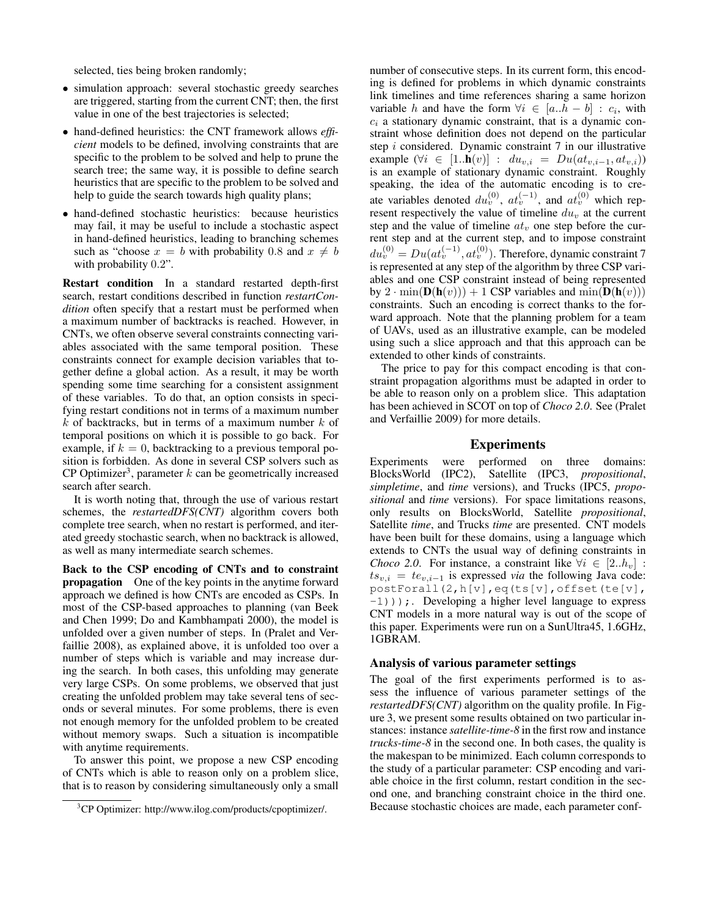selected, ties being broken randomly;

- simulation approach: several stochastic greedy searches are triggered, starting from the current CNT; then, the first value in one of the best trajectories is selected;
- hand-defined heuristics: the CNT framework allows *efficient* models to be defined, involving constraints that are specific to the problem to be solved and help to prune the search tree; the same way, it is possible to define search heuristics that are specific to the problem to be solved and help to guide the search towards high quality plans;
- hand-defined stochastic heuristics: because heuristics may fail, it may be useful to include a stochastic aspect in hand-defined heuristics, leading to branching schemes such as "choose  $x = b$  with probability 0.8 and  $x \neq b$ with probability 0.2".

Restart condition In a standard restarted depth-first search, restart conditions described in function *restartCondition* often specify that a restart must be performed when a maximum number of backtracks is reached. However, in CNTs, we often observe several constraints connecting variables associated with the same temporal position. These constraints connect for example decision variables that together define a global action. As a result, it may be worth spending some time searching for a consistent assignment of these variables. To do that, an option consists in specifying restart conditions not in terms of a maximum number  $k$  of backtracks, but in terms of a maximum number  $k$  of temporal positions on which it is possible to go back. For example, if  $k = 0$ , backtracking to a previous temporal position is forbidden. As done in several CSP solvers such as CP Optimizer<sup>3</sup>, parameter  $k$  can be geometrically increased search after search.

It is worth noting that, through the use of various restart schemes, the *restartedDFS(CNT)* algorithm covers both complete tree search, when no restart is performed, and iterated greedy stochastic search, when no backtrack is allowed, as well as many intermediate search schemes.

Back to the CSP encoding of CNTs and to constraint propagation One of the key points in the anytime forward approach we defined is how CNTs are encoded as CSPs. In most of the CSP-based approaches to planning (van Beek and Chen 1999; Do and Kambhampati 2000), the model is unfolded over a given number of steps. In (Pralet and Verfaillie 2008), as explained above, it is unfolded too over a number of steps which is variable and may increase during the search. In both cases, this unfolding may generate very large CSPs. On some problems, we observed that just creating the unfolded problem may take several tens of seconds or several minutes. For some problems, there is even not enough memory for the unfolded problem to be created without memory swaps. Such a situation is incompatible with anytime requirements.

To answer this point, we propose a new CSP encoding of CNTs which is able to reason only on a problem slice, that is to reason by considering simultaneously only a small

number of consecutive steps. In its current form, this encoding is defined for problems in which dynamic constraints link timelines and time references sharing a same horizon variable h and have the form  $\forall i \in [a..h-b] : c_i$ , with  $c_i$  a stationary dynamic constraint, that is a dynamic constraint whose definition does not depend on the particular step i considered. Dynamic constraint 7 in our illustrative example  $(\forall i \in [1..h(v)] : du_{v,i} = Du(at_{v,i-1}, at_{v,i}))$ is an example of stationary dynamic constraint. Roughly speaking, the idea of the automatic encoding is to create variables denoted  $du_v^{(0)}$ ,  $at_v^{(-1)}$ , and  $at_v^{(0)}$  which represent respectively the value of timeline  $du_v$  at the current step and the value of timeline  $at_v$  one step before the current step and at the current step, and to impose constraint  $du_v^{(0)} = Du(at_v^{(-1)}, at_v^{(0)})$ . Therefore, dynamic constraint 7 is represented at any step of the algorithm by three CSP variables and one CSP constraint instead of being represented by  $2 \cdot \min(\mathbf{D}(\mathbf{h}(v))) + 1 \text{ CSP variables and } \min(\mathbf{D}(\mathbf{h}(v)))$ constraints. Such an encoding is correct thanks to the forward approach. Note that the planning problem for a team of UAVs, used as an illustrative example, can be modeled using such a slice approach and that this approach can be extended to other kinds of constraints.

The price to pay for this compact encoding is that constraint propagation algorithms must be adapted in order to be able to reason only on a problem slice. This adaptation has been achieved in SCOT on top of *Choco 2.0*. See (Pralet and Verfaillie 2009) for more details.

## Experiments

Experiments were performed on three domains: BlocksWorld (IPC2), Satellite (IPC3, *propositional*, *simpletime*, and *time* versions), and Trucks (IPC5, *propositional* and *time* versions). For space limitations reasons, only results on BlocksWorld, Satellite *propositional*, Satellite *time*, and Trucks *time* are presented. CNT models have been built for these domains, using a language which extends to CNTs the usual way of defining constraints in *Choco* 2.0. For instance, a constraint like  $\forall i \in [2..h_v]$ :  $ts_{v,i} = te_{v,i-1}$  is expressed *via* the following Java code: postForall(2,h[v],eq(ts[v],offset(te[v],  $-1)$ ));. Developing a higher level language to express CNT models in a more natural way is out of the scope of this paper. Experiments were run on a SunUltra45, 1.6GHz, 1GBRAM.

#### Analysis of various parameter settings

The goal of the first experiments performed is to assess the influence of various parameter settings of the *restartedDFS(CNT)* algorithm on the quality profile. In Figure 3, we present some results obtained on two particular instances: instance *satellite-time-8* in the first row and instance *trucks-time-8* in the second one. In both cases, the quality is the makespan to be minimized. Each column corresponds to the study of a particular parameter: CSP encoding and variable choice in the first column, restart condition in the second one, and branching constraint choice in the third one. Because stochastic choices are made, each parameter conf-

<sup>3</sup>CP Optimizer: http://www.ilog.com/products/cpoptimizer/.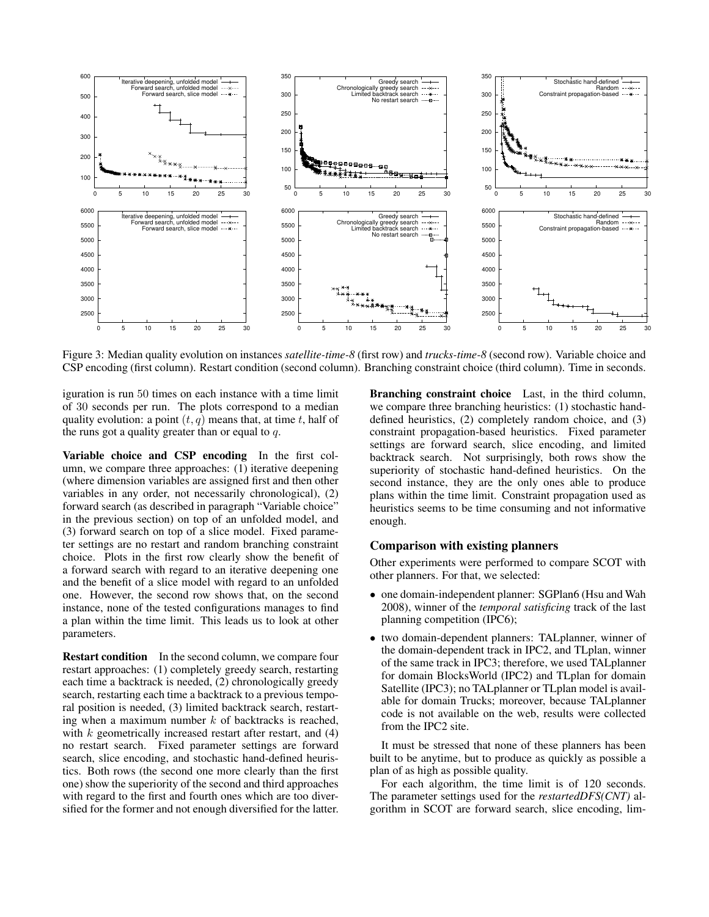

Figure 3: Median quality evolution on instances *satellite-time-8* (first row) and *trucks-time-8* (second row). Variable choice and CSP encoding (first column). Restart condition (second column). Branching constraint choice (third column). Time in seconds.

iguration is run 50 times on each instance with a time limit of 30 seconds per run. The plots correspond to a median quality evolution: a point  $(t, q)$  means that, at time t, half of the runs got a quality greater than or equal to  $q$ .

Variable choice and CSP encoding In the first column, we compare three approaches: (1) iterative deepening (where dimension variables are assigned first and then other variables in any order, not necessarily chronological), (2) forward search (as described in paragraph "Variable choice" in the previous section) on top of an unfolded model, and (3) forward search on top of a slice model. Fixed parameter settings are no restart and random branching constraint choice. Plots in the first row clearly show the benefit of a forward search with regard to an iterative deepening one and the benefit of a slice model with regard to an unfolded one. However, the second row shows that, on the second instance, none of the tested configurations manages to find a plan within the time limit. This leads us to look at other parameters.

Restart condition In the second column, we compare four restart approaches: (1) completely greedy search, restarting each time a backtrack is needed, (2) chronologically greedy search, restarting each time a backtrack to a previous temporal position is needed, (3) limited backtrack search, restarting when a maximum number  $k$  of backtracks is reached, with  $k$  geometrically increased restart after restart, and  $(4)$ no restart search. Fixed parameter settings are forward search, slice encoding, and stochastic hand-defined heuristics. Both rows (the second one more clearly than the first one) show the superiority of the second and third approaches with regard to the first and fourth ones which are too diversified for the former and not enough diversified for the latter.

Branching constraint choice Last, in the third column, we compare three branching heuristics: (1) stochastic handdefined heuristics, (2) completely random choice, and (3) constraint propagation-based heuristics. Fixed parameter settings are forward search, slice encoding, and limited backtrack search. Not surprisingly, both rows show the superiority of stochastic hand-defined heuristics. On the second instance, they are the only ones able to produce plans within the time limit. Constraint propagation used as heuristics seems to be time consuming and not informative enough.

## Comparison with existing planners

Other experiments were performed to compare SCOT with other planners. For that, we selected:

- one domain-independent planner: SGPlan6 (Hsu and Wah 2008), winner of the *temporal satisficing* track of the last planning competition (IPC6);
- two domain-dependent planners: TALplanner, winner of the domain-dependent track in IPC2, and TLplan, winner of the same track in IPC3; therefore, we used TALplanner for domain BlocksWorld (IPC2) and TLplan for domain Satellite (IPC3); no TALplanner or TLplan model is available for domain Trucks; moreover, because TALplanner code is not available on the web, results were collected from the IPC2 site.

It must be stressed that none of these planners has been built to be anytime, but to produce as quickly as possible a plan of as high as possible quality.

For each algorithm, the time limit is of 120 seconds. The parameter settings used for the *restartedDFS(CNT)* algorithm in SCOT are forward search, slice encoding, lim-